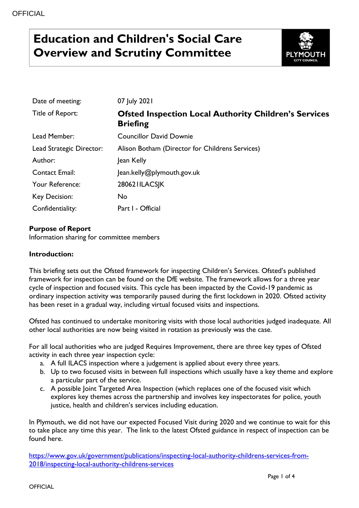# **Education and Children's Social Care Overview and Scrutiny Committee**



| Date of meeting:         | 07 July 2021                                                                    |
|--------------------------|---------------------------------------------------------------------------------|
| Title of Report:         | <b>Ofsted Inspection Local Authority Children's Services</b><br><b>Briefing</b> |
| Lead Member:             | <b>Councillor David Downie</b>                                                  |
| Lead Strategic Director: | Alison Botham (Director for Childrens Services)                                 |
| Author:                  | Jean Kelly                                                                      |
| <b>Contact Email:</b>    | Jean.kelly@plymouth.gov.uk                                                      |
| Your Reference:          | 280621ILACSJK                                                                   |
| Key Decision:            | No                                                                              |
| Confidentiality:         | Part I - Official                                                               |

#### **Purpose of Report**

Information sharing for committee members

#### **Introduction:**

This briefing sets out the Ofsted framework for inspecting Children's Services. Ofsted's published framework for inspection can be found on the DfE website. The framework allows for a three year cycle of inspection and focused visits. This cycle has been impacted by the Covid-19 pandemic as ordinary inspection activity was temporarily paused during the first lockdown in 2020. Ofsted activity has been reset in a gradual way, including virtual focused visits and inspections.

Ofsted has continued to undertake monitoring visits with those local authorities judged inadequate. All other local authorities are now being visited in rotation as previously was the case.

For all local authorities who are judged Requires Improvement, there are three key types of Ofsted activity in each three year inspection cycle:

- a. A full ILACS inspection where a judgement is applied about every three years.
- b. Up to two focused visits in between full inspections which usually have a key theme and explore a particular part of the service.
- c. A possible Joint Targeted Area Inspection (which replaces one of the focused visit which explores key themes across the partnership and involves key inspectorates for police, youth justice, health and children's services including education.

In Plymouth, we did not have our expected Focused Visit during 2020 and we continue to wait for this to take place any time this year. The link to the latest Ofsted guidance in respect of inspection can be found here.

[https://www.gov.uk/government/publications/inspecting-local-authority-childrens-services-from-](https://www.gov.uk/government/publications/inspecting-local-authority-childrens-services-from-2018/inspecting-local-authority-childrens-services)[2018/inspecting-local-authority-childrens-services](https://www.gov.uk/government/publications/inspecting-local-authority-childrens-services-from-2018/inspecting-local-authority-childrens-services)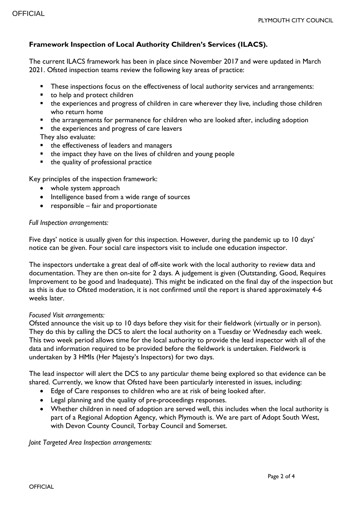## **Framework Inspection of Local Authority Children's Services (ILACS).**

The current ILACS framework has been in place since November 2017 and were updated in March 2021. Ofsted inspection teams review the following key areas of practice:

- These inspections focus on the effectiveness of local authority services and arrangements:
- to help and protect children
- the experiences and progress of children in care wherever they live, including those children who return home
- the arrangements for permanence for children who are looked after, including adoption
- the experiences and progress of care leavers

They also evaluate:

- the effectiveness of leaders and managers
- the impact they have on the lives of children and young people
- $\blacksquare$  the quality of professional practice

Key principles of the inspection framework:

- whole system approach
- Intelligence based from a wide range of sources
- $\bullet$  responsible fair and proportionate

#### *Full Inspection arrangements:*

Five days' notice is usually given for this inspection. However, during the pandemic up to 10 days' notice can be given. Four social care inspectors visit to include one education inspector.

The inspectors undertake a great deal of off-site work with the local authority to review data and documentation. They are then on-site for 2 days. A judgement is given (Outstanding, Good, Requires Improvement to be good and Inadequate). This might be indicated on the final day of the inspection but as this is due to Ofsted moderation, it is not confirmed until the report is shared approximately 4-6 weeks later.

#### *Focused Visit arrangements:*

Ofsted announce the visit up to 10 days before they visit for their fieldwork (virtually or in person). They do this by calling the DCS to alert the local authority on a Tuesday or Wednesday each week. This two week period allows time for the local authority to provide the lead inspector with all of the data and information required to be provided before the fieldwork is undertaken. Fieldwork is undertaken by 3 HMIs (Her Majesty's Inspectors) for two days.

The lead inspector will alert the DCS to any particular theme being explored so that evidence can be shared. Currently, we know that Ofsted have been particularly interested in issues, including:

- Edge of Care responses to children who are at risk of being looked after.
- Legal planning and the quality of pre-proceedings responses.
- Whether children in need of adoption are served well, this includes when the local authority is part of a Regional Adoption Agency, which Plymouth is. We are part of Adopt South West, with Devon County Council, Torbay Council and Somerset.

*Joint Targeted Area Inspection arrangements:*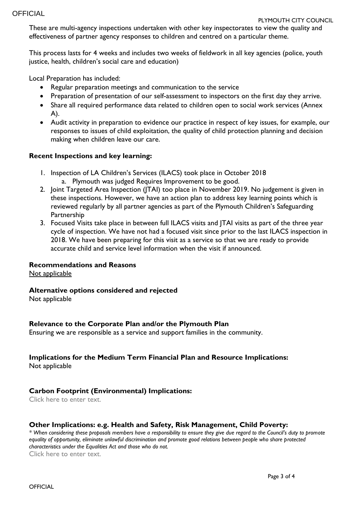These are multi-agency inspections undertaken with other key inspectorates to view the quality and effectiveness of partner agency responses to children and centred on a particular theme.

This process lasts for 4 weeks and includes two weeks of fieldwork in all key agencies (police, youth justice, health, children's social care and education)

Local Preparation has included:

- Regular preparation meetings and communication to the service
- Preparation of presentation of our self-assessment to inspectors on the first day they arrive.
- Share all required performance data related to children open to social work services (Annex A).
- Audit activity in preparation to evidence our practice in respect of key issues, for example, our responses to issues of child exploitation, the quality of child protection planning and decision making when children leave our care.

#### **Recent Inspections and key learning:**

- 1. Inspection of LA Children's Services (ILACS) took place in October 2018 a. Plymouth was judged Requires Improvement to be good.
- 2. Joint Targeted Area Inspection (JTAI) too place in November 2019. No judgement is given in these inspections. However, we have an action plan to address key learning points which is reviewed regularly by all partner agencies as part of the Plymouth Children's Safeguarding Partnership
- 3. Focused Visits take place in between full ILACS visits and JTAI visits as part of the three year cycle of inspection. We have not had a focused visit since prior to the last ILACS inspection in 2018. We have been preparing for this visit as a service so that we are ready to provide accurate child and service level information when the visit if announced.

#### **Recommendations and Reasons**

Not applicable

#### **Alternative options considered and rejected**

Not applicable

#### **Relevance to the Corporate Plan and/or the Plymouth Plan**

Ensuring we are responsible as a service and support families in the community.

# **Implications for the Medium Term Financial Plan and Resource Implications:**

Not applicable

#### **Carbon Footprint (Environmental) Implications:**

Click here to enter text.

#### **Other Implications: e.g. Health and Safety, Risk Management, Child Poverty:**

*\* When considering these proposals members have a responsibility to ensure they give due regard to the Council's duty to promote equality of opportunity, eliminate unlawful discrimination and promote good relations between people who share protected characteristics under the Equalities Act and those who do not.* Click here to enter text.